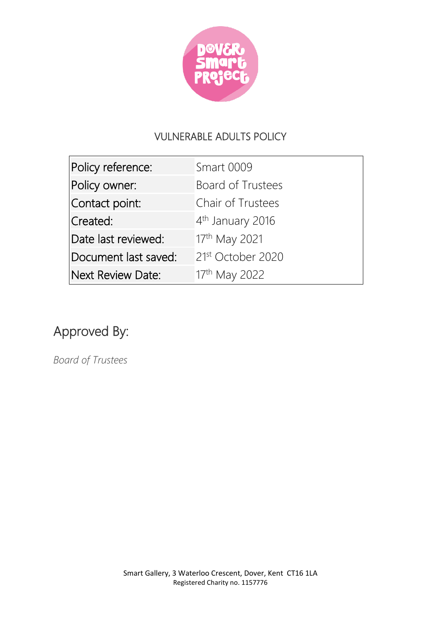

## VULNERABLE ADULTS POLICY

| Policy reference:        | <b>Smart 0009</b>             |
|--------------------------|-------------------------------|
| Policy owner:            | <b>Board of Trustees</b>      |
| Contact point:           | Chair of Trustees             |
| Created:                 | 4 <sup>th</sup> January 2016  |
| Date last reviewed:      | 17th May 2021                 |
| Document last saved:     | 21 <sup>st</sup> October 2020 |
| <b>Next Review Date:</b> | 17th May 2022                 |

## Approved By:

*Board of Trustees*